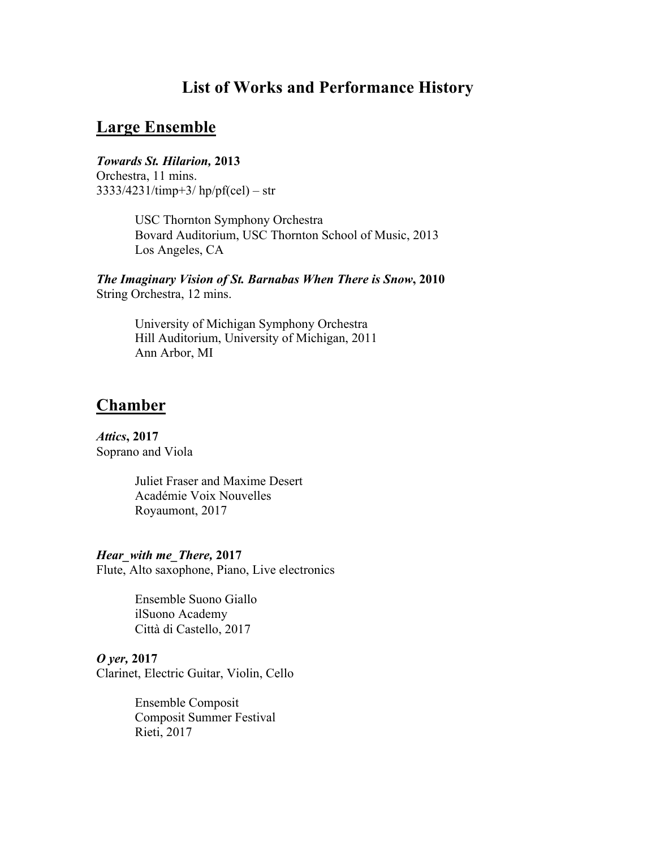# **List of Works and Performance History**

## **Large Ensemble**

## *Towards St. Hilarion,* **2013**

Orchestra, 11 mins. 3333/4231/timp+3/ hp/pf(cel) – str

> USC Thornton Symphony Orchestra Bovard Auditorium, USC Thornton School of Music, 2013 Los Angeles, CA

## *The Imaginary Vision of St. Barnabas When There is Snow***, 2010** String Orchestra, 12 mins.

University of Michigan Symphony Orchestra Hill Auditorium, University of Michigan, 2011 Ann Arbor, MI

# **Chamber**

*Attics***, 2017** Soprano and Viola

> Juliet Fraser and Maxime Desert Académie Voix Nouvelles Royaumont, 2017

*Hear\_with me\_There,* **2017** Flute, Alto saxophone, Piano, Live electronics

> Ensemble Suono Giallo ilSuono Academy Città di Castello, 2017

### *O yer,* **2017**

Clarinet, Electric Guitar, Violin, Cello

Ensemble Composit Composit Summer Festival Rieti, 2017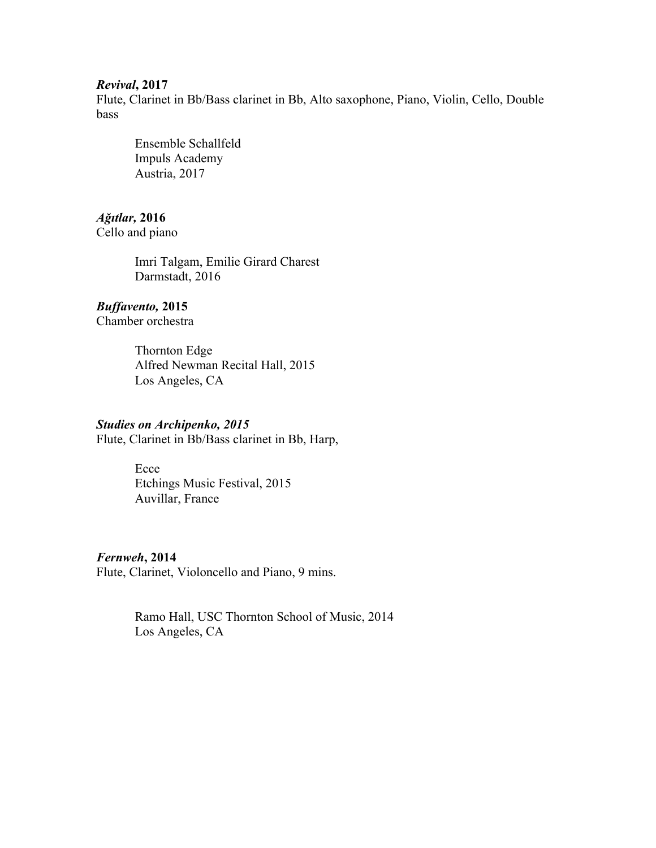#### *Revival***, 2017**

Flute, Clarinet in Bb/Bass clarinet in Bb, Alto saxophone, Piano, Violin, Cello, Double bass

Ensemble Schallfeld Impuls Academy Austria, 2017

### *Ağıtlar,* **2016**

Cello and piano

Imri Talgam, Emilie Girard Charest Darmstadt, 2016

## *Buffavento,* **2015**

Chamber orchestra

Thornton Edge Alfred Newman Recital Hall, 2015 Los Angeles, CA

### *Studies on Archipenko, 2015*

Flute, Clarinet in Bb/Bass clarinet in Bb, Harp,

Ecce Etchings Music Festival, 2015 Auvillar, France

## *Fernweh***, 2014**

Flute, Clarinet, Violoncello and Piano, 9 mins.

Ramo Hall, USC Thornton School of Music, 2014 Los Angeles, CA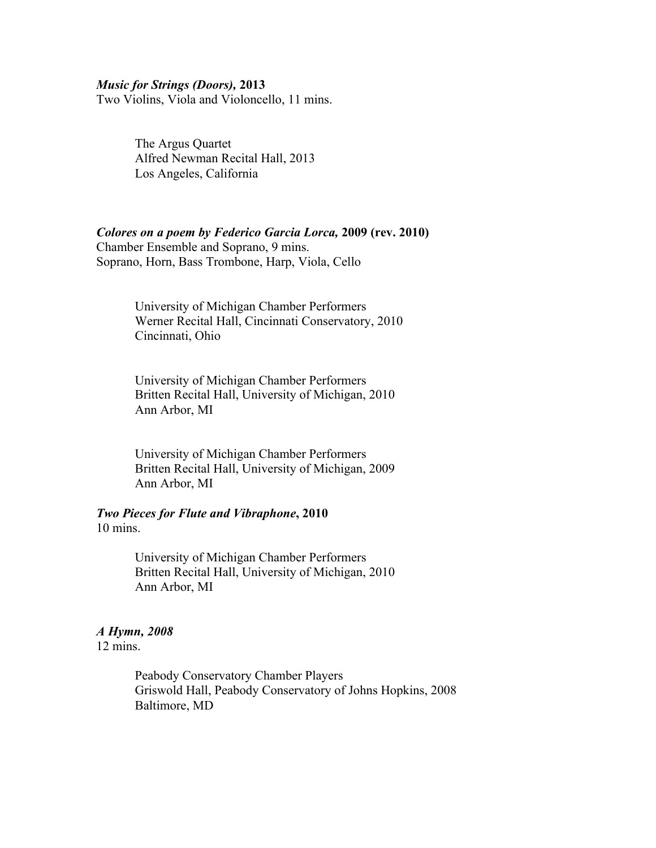#### *Music for Strings (Doors),* **2013**

Two Violins, Viola and Violoncello, 11 mins.

The Argus Quartet Alfred Newman Recital Hall, 2013 Los Angeles, California

### *Colores on a poem by Federico Garcia Lorca,* **2009 (rev. 2010)**

Chamber Ensemble and Soprano, 9 mins. Soprano, Horn, Bass Trombone, Harp, Viola, Cello

> University of Michigan Chamber Performers Werner Recital Hall, Cincinnati Conservatory, 2010 Cincinnati, Ohio

University of Michigan Chamber Performers Britten Recital Hall, University of Michigan, 2010 Ann Arbor, MI

University of Michigan Chamber Performers Britten Recital Hall, University of Michigan, 2009 Ann Arbor, MI

#### *Two Pieces for Flute and Vibraphone***, 2010** 10 mins.

University of Michigan Chamber Performers Britten Recital Hall, University of Michigan, 2010 Ann Arbor, MI

#### *A Hymn, 2008*

12 mins.

Peabody Conservatory Chamber Players Griswold Hall, Peabody Conservatory of Johns Hopkins, 2008 Baltimore, MD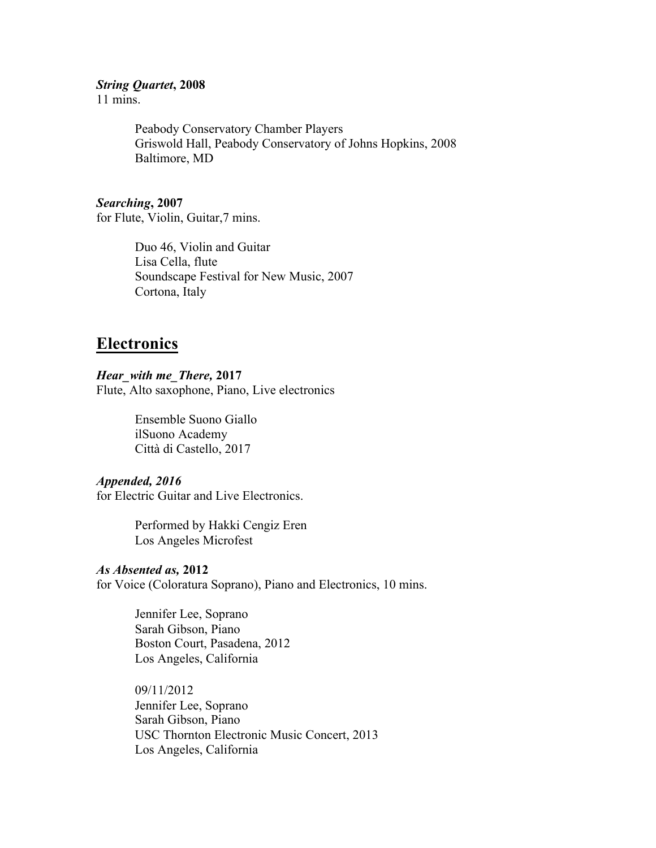#### *String Quartet***, 2008**

11 mins.

Peabody Conservatory Chamber Players Griswold Hall, Peabody Conservatory of Johns Hopkins, 2008 Baltimore, MD

#### *Searching***, 2007**

for Flute, Violin, Guitar,7 mins.

Duo 46, Violin and Guitar Lisa Cella, flute Soundscape Festival for New Music, 2007 Cortona, Italy

## **Electronics**

#### *Hear\_with me\_There,* **2017**

Flute, Alto saxophone, Piano, Live electronics

Ensemble Suono Giallo ilSuono Academy Città di Castello, 2017

### *Appended, 2016*

for Electric Guitar and Live Electronics.

Performed by Hakki Cengiz Eren Los Angeles Microfest

#### *As Absented as,* **2012**

for Voice (Coloratura Soprano), Piano and Electronics, 10 mins.

Jennifer Lee, Soprano Sarah Gibson, Piano Boston Court, Pasadena, 2012 Los Angeles, California

09/11/2012 Jennifer Lee, Soprano Sarah Gibson, Piano USC Thornton Electronic Music Concert, 2013 Los Angeles, California